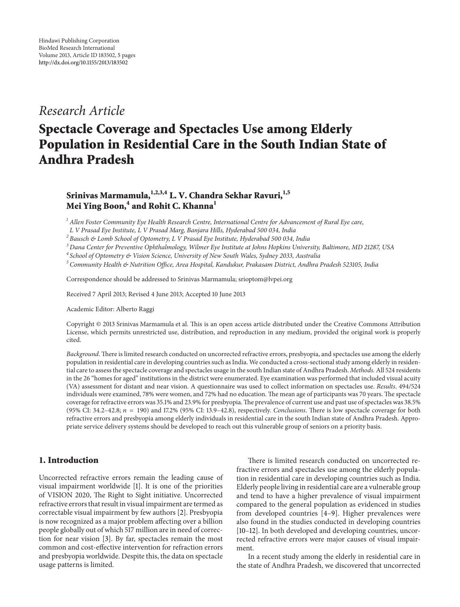## *Research Article*

# **Spectacle Coverage and Spectacles Use among Elderly Population in Residential Care in the South Indian State of Andhra Pradesh**

### Srinivas Marmamula, <sup>1,2,3,4</sup> L. V. Chandra Sekhar Ravuri, <sup>1,5</sup> **Mei Ying Boon,<sup>4</sup> and Rohit C. Khanna1**

*<sup>1</sup> Allen Foster Community Eye Health Research Centre, International Centre for Advancement of Rural Eye care,*

*L V Prasad Eye Institute, L V Prasad Marg, Banjara Hills, Hyderabad 500 034, India*

*<sup>2</sup> Bausch & Lomb School of Optometry, L V Prasad Eye Institute, Hyderabad 500 034, India*

*<sup>3</sup> Dana Center for Preventive Ophthalmology, Wilmer Eye Institute at Johns Hopkins University, Baltimore, MD 21287, USA*

*<sup>4</sup> School of Optometry & Vision Science, University of New South Wales, Sydney 2033, Australia*

*<sup>5</sup> Community Health & Nutrition Office, Area Hospital, Kandukur, Prakasam District, Andhra Pradesh 523105, India*

Correspondence should be addressed to Srinivas Marmamula; srioptom@lvpei.org

Received 7 April 2013; Revised 4 June 2013; Accepted 10 June 2013

Academic Editor: Alberto Raggi

Copyright © 2013 Srinivas Marmamula et al. This is an open access article distributed under the Creative Commons Attribution License, which permits unrestricted use, distribution, and reproduction in any medium, provided the original work is properly cited.

*Background*. There is limited research conducted on uncorrected refractive errors, presbyopia, and spectacles use among the elderly population in residential care in developing countries such as India. We conducted a cross-sectional study among elderly in residential care to assess the spectacle coverage and spectacles usage in the south Indian state of Andhra Pradesh. *Methods*. All 524 residents in the 26 "homes for aged" institutions in the district were enumerated. Eye examination was performed that included visual acuity (VA) assessment for distant and near vision. A questionnaire was used to collect information on spectacles use. *Results*. 494/524 individuals were examined, 78% were women, and 72% had no education. The mean age of participants was 70 years. The spectacle coverage for refractive errors was 35.1% and 23.9% for presbyopia.The prevalence of current use and past use of spectacles was 38.5% (95% CI: 34.2–42.8; = 190) and 17.2% (95% CI: 13.9–42.8), respectively. *Conclusions*. There is low spectacle coverage for both refractive errors and presbyopia among elderly individuals in residential care in the south Indian state of Andhra Pradesh. Appropriate service delivery systems should be developed to reach out this vulnerable group of seniors on a priority basis.

#### **1. Introduction**

Uncorrected refractive errors remain the leading cause of visual impairment worldwide [\[1](#page-3-1)]. It is one of the priorities of VISION 2020, The Right to Sight initiative. Uncorrected refractive errors that result in visual impairment are termed as correctable visual impairment by few authors [\[2](#page-3-2)]. Presbyopia is now recognized as a major problem affecting over a billion people globally out of which 517 million are in need of correction for near vision [\[3](#page-4-0)]. By far, spectacles remain the most common and cost-effective intervention for refraction errors and presbyopia worldwide. Despite this, the data on spectacle usage patterns is limited.

There is limited research conducted on uncorrected refractive errors and spectacles use among the elderly population in residential care in developing countries such as India. Elderly people living in residential care are a vulnerable group and tend to have a higher prevalence of visual impairment compared to the general population as evidenced in studies from developed countries [\[4](#page-4-1)[–9](#page-4-2)]. Higher prevalences were also found in the studies conducted in developing countries [\[10](#page-4-3)[–12](#page-4-4)]. In both developed and developing countries, uncorrected refractive errors were major causes of visual impairment.

In a recent study among the elderly in residential care in the state of Andhra Pradesh, we discovered that uncorrected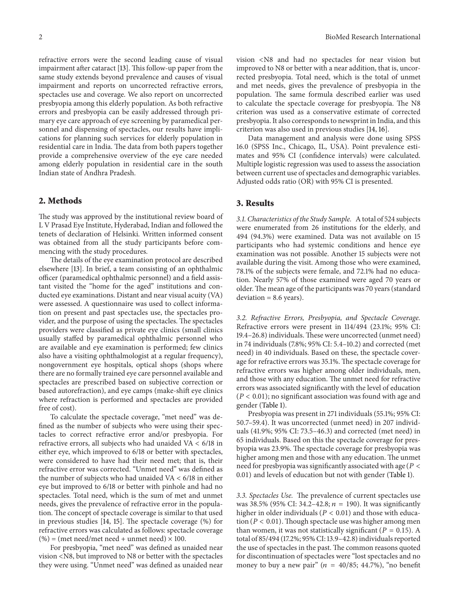refractive errors were the second leading cause of visual impairment after cataract [\[13](#page-4-5)]. This follow-up paper from the same study extends beyond prevalence and causes of visual impairment and reports on uncorrected refractive errors, spectacles use and coverage. We also report on uncorrected presbyopia among this elderly population. As both refractive errors and presbyopia can be easily addressed through primary eye care approach of eye screening by paramedical personnel and dispensing of spectacles, our results have implications for planning such services for elderly population in residential care in India. The data from both papers together provide a comprehensive overview of the eye care needed among elderly population in residential care in the south Indian state of Andhra Pradesh.

#### **2. Methods**

The study was approved by the institutional review board of L V Prasad Eye Institute, Hyderabad, Indian and followed the tenets of declaration of Helsinki. Written informed consent was obtained from all the study participants before commencing with the study procedures.

The details of the eye examination protocol are described elsewhere [\[13\]](#page-4-5). In brief, a team consisting of an ophthalmic officer (paramedical ophthalmic personnel) and a field assistant visited the "home for the aged" institutions and conducted eye examinations. Distant and near visual acuity (VA) were assessed. A questionnaire was used to collect information on present and past spectacles use, the spectacles provider, and the purpose of using the spectacles. The spectacles providers were classified as private eye clinics (small clinics usually staffed by paramedical ophthalmic personnel who are available and eye examination is performed; few clinics also have a visiting ophthalmologist at a regular frequency), nongovernment eye hospitals, optical shops (shops where there are no formally trained eye care personnel available and spectacles are prescribed based on subjective correction or based autorefraction), and eye camps (make-shift eye clinics where refraction is performed and spectacles are provided free of cost).

To calculate the spectacle coverage, "met need" was defined as the number of subjects who were using their spectacles to correct refractive error and/or presbyopia. For refractive errors, all subjects who had unaided VA < 6/18 in either eye, which improved to 6/18 or better with spectacles, were considered to have had their need met; that is, their refractive error was corrected. "Unmet need" was defined as the number of subjects who had unaided  $VA < 6/18$  in either eye but improved to 6/18 or better with pinhole and had no spectacles. Total need, which is the sum of met and unmet needs, gives the prevalence of refractive error in the population. The concept of spectacle coverage is similar to that used in previous studies [\[14,](#page-4-6) [15](#page-4-7)]. The spectacle coverage (%) for refractive errors was calculated as follows: spectacle coverage  $(\%)$  = (met need/met need + unmet need) × 100.

For presbyopia, "met need" was defined as unaided near vision <N8, but improved to N8 or better with the spectacles they were using. "Unmet need" was defined as unaided near vision <N8 and had no spectacles for near vision but improved to N8 or better with a near addition, that is, uncorrected presbyopia. Total need, which is the total of unmet and met needs, gives the prevalence of presbyopia in the population. The same formula described earlier was used to calculate the spectacle coverage for presbyopia. The N8 criterion was used as a conservative estimate of corrected presbyopia. It also corresponds to newsprint in India, and this criterion was also used in previous studies [\[14,](#page-4-6) [16](#page-4-8)].

Data management and analysis were done using SPSS 16.0 (SPSS Inc., Chicago, IL, USA). Point prevalence estimates and 95% CI (confidence intervals) were calculated. Multiple logistic regression was used to assess the association between current use of spectacles and demographic variables. Adjusted odds ratio (OR) with 95% CI is presented.

#### **3. Results**

*3.1. Characteristics of the Study Sample.* A total of 524 subjects were enumerated from 26 institutions for the elderly, and 494 (94.3%) were examined. Data was not available on 15 participants who had systemic conditions and hence eye examination was not possible. Another 15 subjects were not available during the visit. Among those who were examined, 78.1% of the subjects were female, and 72.1% had no education. Nearly 57% of those examined were aged 70 years or older.The mean age of the participants was 70 years (standard  $deviation = 8.6 \text{ years}.$ 

*3.2. Refractive Errors, Presbyopia, and Spectacle Coverage.* Refractive errors were present in 114/494 (23.1%; 95% CI: 19.4–26.8) individuals. These were uncorrected (unmet need) in 74 individuals (7.8%; 95% CI: 5.4–10.2) and corrected (met need) in 40 individuals. Based on these, the spectacle coverage for refractive errors was 35.1%. The spectacle coverage for refractive errors was higher among older individuals, men, and those with any education. The unmet need for refractive errors was associated significantly with the level of education  $(P < 0.01)$ ; no significant association was found with age and gender [\(Table 1\)](#page-2-0).

Presbyopia was present in 271 individuals (55.1%; 95% CI: 50.7–59.4). It was uncorrected (unmet need) in 207 individuals (41.9%; 95% CI: 73.5–46.3) and corrected (met need) in 65 individuals. Based on this the spectacle coverage for presbyopia was 23.9%. The spectacle coverage for presbyopia was higher among men and those with any education. The unmet need for presbyopia was significantly associated with age ( $P <$ 0.01) and levels of education but not with gender [\(Table 1\)](#page-2-0).

*3.3. Spectacles Use.* The prevalence of current spectacles use was 38.5% (95% CI: 34.2–42.8;  $n = 190$ ). It was significantly higher in older individuals ( $P < 0.01$ ) and those with education ( $P < 0.01$ ). Though spectacle use was higher among men than women, it was not statistically significant ( $P = 0.15$ ). A total of 85/494 (17.2%; 95% CI: 13.9–42.8) individuals reported the use of spectacles in the past. The common reasons quoted for discontinuation of spectacles were "lost spectacles and no money to buy a new pair"  $(n = 40/85; 44.7%)$ , "no benefit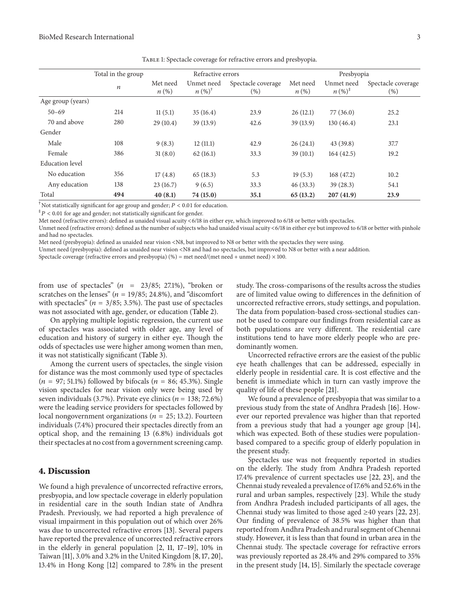|                        | Total in the group<br>$\boldsymbol{n}$ | Refractive errors              |                                 |                               | Presbyopia                     |                                   |                              |
|------------------------|----------------------------------------|--------------------------------|---------------------------------|-------------------------------|--------------------------------|-----------------------------------|------------------------------|
|                        |                                        | Met need<br>$n\left(\%\right)$ | Unmet need<br>$n (%)^{\dagger}$ | Spectacle coverage<br>$(\% )$ | Met need<br>$n\left(\%\right)$ | Unmet need<br>$n (\%)^{\ddagger}$ | Spectacle coverage<br>$(\%)$ |
| Age group (years)      |                                        |                                |                                 |                               |                                |                                   |                              |
| $50 - 69$              | 214                                    | 11(5.1)                        | 35(16.4)                        | 23.9                          | 26(12.1)                       | 77(36.0)                          | 25.2                         |
| 70 and above           | 280                                    | 29(10.4)                       | 39 (13.9)                       | 42.6                          | 39(13.9)                       | 130(46.4)                         | 23.1                         |
| Gender                 |                                        |                                |                                 |                               |                                |                                   |                              |
| Male                   | 108                                    | 9(8.3)                         | 12(11.1)                        | 42.9                          | 26(24.1)                       | 43(39.8)                          | 37.7                         |
| Female                 | 386                                    | 31(8.0)                        | 62(16.1)                        | 33.3                          | 39(10.1)                       | 164(42.5)                         | 19.2                         |
| <b>Education</b> level |                                        |                                |                                 |                               |                                |                                   |                              |
| No education           | 356                                    | 17(4.8)                        | 65(18.3)                        | 5.3                           | 19(5.3)                        | 168 (47.2)                        | 10.2                         |
| Any education          | 138                                    | 23(16.7)                       | 9(6.5)                          | 33.3                          | 46(33.3)                       | 39(28.3)                          | 54.1                         |
| Total                  | 494                                    | 40(8.1)                        | 74 (15.0)                       | 35.1                          | 65(13.2)                       | 207(41.9)                         | 23.9                         |

<span id="page-2-0"></span>Table 1: Spectacle coverage for refractive errors and presbyopia.

<sup>†</sup>Not statistically significant for age group and gender;  $P < 0.01$  for education.

 $P^{\ddagger}P < 0.01$  for age and gender; not statistically significant for gender.

Met need (refractive errors): defined as unaided visual acuity <6/18 in either eye, which improved to 6/18 or better with spectacles.

Unmet need (refractive errors): defined as the number of subjects who had unaided visual acuity <6/18 in either eye but improved to 6/18 or better with pinhole and had no spectacles.

Met need (presbyopia): defined as unaided near vision <N8, but improved to N8 or better with the spectacles they were using.

Unmet need (presbyopia): defined as unaided near vision <N8 and had no spectacles, but improved to N8 or better with a near addition.

Spectacle coverage (refractive errors and presbyopia) (%) = met need/(met need + unmet need)  $\times$  100.

from use of spectacles"  $(n = 23/85; 27.1\%)$ , "broken or scratches on the lenses" ( $n = 19/85$ ; 24.8%), and "discomfort with spectacles" ( $n = 3/85$ ; 3.5%). The past use of spectacles was not associated with age, gender, or education [\(Table 2\)](#page-3-3).

On applying multiple logistic regression, the current use of spectacles was associated with older age, any level of education and history of surgery in either eye. Though the odds of spectacles use were higher among women than men, it was not statistically significant [\(Table 3\)](#page-3-4).

Among the current users of spectacles, the single vision for distance was the most commonly used type of spectacles  $(n = 97; 51.1%)$  followed by bifocals  $(n = 86; 45.3%)$ . Single vision spectacles for near vision only were being used by seven individuals (3.7%). Private eye clinics ( $n = 138; 72.6\%)$ were the leading service providers for spectacles followed by local nongovernment organizations ( $n = 25$ ; 13.2). Fourteen individuals (7.4%) procured their spectacles directly from an optical shop, and the remaining 13 (6.8%) individuals got their spectacles at no cost from a government screening camp.

#### **4. Discussion**

We found a high prevalence of uncorrected refractive errors, presbyopia, and low spectacle coverage in elderly population in residential care in the south Indian state of Andhra Pradesh. Previously, we had reported a high prevalence of visual impairment in this population out of which over 26% was due to uncorrected refractive errors [\[13\]](#page-4-5). Several papers have reported the prevalence of uncorrected refractive errors in the elderly in general population [\[2,](#page-3-2) [11](#page-4-9), [17](#page-4-10)[–19\]](#page-4-11), 10% in Taiwan [\[11](#page-4-9)], 3.0% and 3.2% in the United Kingdom [\[8](#page-4-12), [17](#page-4-10), [20\]](#page-4-13), 13.4% in Hong Kong [\[12\]](#page-4-4) compared to 7.8% in the present study. The cross-comparisons of the results across the studies are of limited value owing to differences in the definition of uncorrected refractive errors, study settings, and population. The data from population-based cross-sectional studies cannot be used to compare our findings from residential care as both populations are very different. The residential care institutions tend to have more elderly people who are predominantly women.

Uncorrected refractive errors are the easiest of the public eye heath challenges that can be addressed, especially in elderly people in residential care. It is cost effective and the benefit is immediate which in turn can vastly improve the quality of life of these people [\[21](#page-4-14)].

We found a prevalence of presbyopia that was similar to a previous study from the state of Andhra Pradesh [\[16\]](#page-4-8). However our reported prevalence was higher than that reported from a previous study that had a younger age group [\[14](#page-4-6)], which was expected. Both of these studies were populationbased compared to a specific group of elderly population in the present study.

Spectacles use was not frequently reported in studies on the elderly. The study from Andhra Pradesh reported 17.4% prevalence of current spectacles use [\[22](#page-4-15), [23](#page-4-16)], and the Chennai study revealed a prevalence of 17.6% and 52.6% in the rural and urban samples, respectively [\[23](#page-4-16)]. While the study from Andhra Pradesh included participants of all ages, the Chennai study was limited to those aged  $\geq 40$  years [\[22,](#page-4-15) [23](#page-4-16)]. Our finding of prevalence of 38.5% was higher than that reported from Andhra Pradesh and rural segment of Chennai study. However, it is less than that found in urban area in the Chennai study. The spectacle coverage for refractive errors was previously reported as 28.4% and 29% compared to 35% in the present study [\[14,](#page-4-6) [15](#page-4-7)]. Similarly the spectacle coverage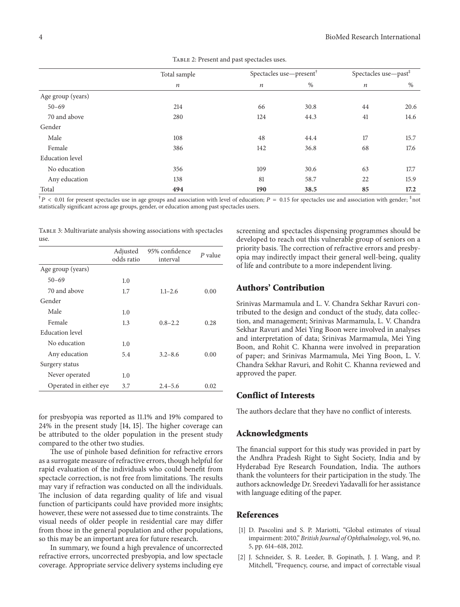|                        | Total sample     | Spectacles use-present <sup>†</sup> |      | Spectacles use-past <sup>#</sup> |      |
|------------------------|------------------|-------------------------------------|------|----------------------------------|------|
|                        | $\boldsymbol{n}$ | $\boldsymbol{n}$                    | %    | $\boldsymbol{n}$                 | $\%$ |
| Age group (years)      |                  |                                     |      |                                  |      |
| $50 - 69$              | 214              | 66                                  | 30.8 | 44                               | 20.6 |
| 70 and above           | 280              | 124                                 | 44.3 | 41                               | 14.6 |
| Gender                 |                  |                                     |      |                                  |      |
| Male                   | 108              | 48                                  | 44.4 | 17                               | 15.7 |
| Female                 | 386              | 142                                 | 36.8 | 68                               | 17.6 |
| <b>Education</b> level |                  |                                     |      |                                  |      |
| No education           | 356              | 109                                 | 30.6 | 63                               | 17.7 |
| Any education          | 138              | 81                                  | 58.7 | 22                               | 15.9 |
| Total                  | 494              | 190                                 | 38.5 | 85                               | 17.2 |

<span id="page-3-3"></span>TABLE 2: Present and past spectacles uses.

 $^{\dagger}P$  < 0.01 for present spectacles use in age groups and association with level of education;  $P = 0.15$  for spectacles use and association with gender;  $^{\ddagger}$  not statistically significant across age groups, gender, or education among past spectacles users.

<span id="page-3-4"></span>TABLE 3: Multivariate analysis showing associations with spectacles use.

|                        | Adjusted<br>odds ratio | 95% confidence<br>interval | $P$ value |
|------------------------|------------------------|----------------------------|-----------|
| Age group (years)      |                        |                            |           |
| $50 - 69$              | 1.0                    |                            |           |
| 70 and above           | 1.7                    | $1.1 - 2.6$                | 0.00      |
| Gender                 |                        |                            |           |
| Male                   | 1.0                    |                            |           |
| Female                 | 1.3                    | $0.8 - 2.2$                | 0.28      |
| <b>Education</b> level |                        |                            |           |
| No education           | 1.0                    |                            |           |
| Any education          | 5.4                    | $3.2 - 8.6$                | 0.00      |
| Surgery status         |                        |                            |           |
| Never operated         | 1.0                    |                            |           |
| Operated in either eye | 3.7                    | $2.4 - 5.6$                | 0.02      |

for presbyopia was reported as 11.1% and 19% compared to 24% in the present study [\[14,](#page-4-6) [15\]](#page-4-7). The higher coverage can be attributed to the older population in the present study compared to the other two studies.

The use of pinhole based definition for refractive errors as a surrogate measure of refractive errors, though helpful for rapid evaluation of the individuals who could benefit from spectacle correction, is not free from limitations. The results may vary if refraction was conducted on all the individuals. The inclusion of data regarding quality of life and visual function of participants could have provided more insights; however, these were not assessed due to time constraints. The visual needs of older people in residential care may differ from those in the general population and other populations, so this may be an important area for future research.

In summary, we found a high prevalence of uncorrected refractive errors, uncorrected presbyopia, and low spectacle coverage. Appropriate service delivery systems including eye screening and spectacles dispensing programmes should be developed to reach out this vulnerable group of seniors on a priority basis. The correction of refractive errors and presbyopia may indirectly impact their general well-being, quality of life and contribute to a more independent living.

#### **Authors' Contribution**

Srinivas Marmamula and L. V. Chandra Sekhar Ravuri contributed to the design and conduct of the study, data collection, and management; Srinivas Marmamula, L. V. Chandra Sekhar Ravuri and Mei Ying Boon were involved in analyses and interpretation of data; Srinivas Marmamula, Mei Ying Boon, and Rohit C. Khanna were involved in preparation of paper; and Srinivas Marmamula, Mei Ying Boon, L. V. Chandra Sekhar Ravuri, and Rohit C. Khanna reviewed and approved the paper.

#### **Conflict of Interests**

The authors declare that they have no conflict of interests.

#### **Acknowledgments**

The financial support for this study was provided in part by the Andhra Pradesh Right to Sight Society, India and by Hyderabad Eye Research Foundation, India. The authors thank the volunteers for their participation in the study. The authors acknowledge Dr. Sreedevi Yadavalli for her assistance with language editing of the paper.

#### <span id="page-3-0"></span>**References**

- <span id="page-3-1"></span>[1] D. Pascolini and S. P. Mariotti, "Global estimates of visual impairment: 2010," *British Journal of Ophthalmology*, vol. 96, no. 5, pp. 614–618, 2012.
- <span id="page-3-2"></span>[2] J. Schneider, S. R. Leeder, B. Gopinath, J. J. Wang, and P. Mitchell, "Frequency, course, and impact of correctable visual